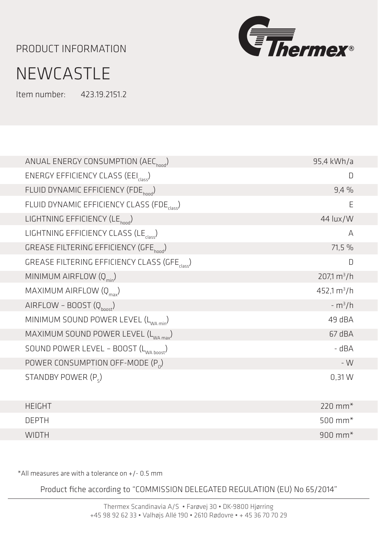PRODUCT INFORMATION



## **NEWCASTLE**

Item number: 423.19.2151.2

| ANUAL ENERGY CONSUMPTION (AEC <sub>hood</sub> )           | 95,4 kWh/a              |
|-----------------------------------------------------------|-------------------------|
| ENERGY EFFICIENCY CLASS (EEI <sub>class</sub> )           | D                       |
| FLUID DYNAMIC EFFICIENCY (FDE <sub>hood</sub> )           | 9,4%                    |
| FLUID DYNAMIC EFFICIENCY CLASS (FDE                       | E                       |
| LIGHTNING EFFICIENCY (LE <sub>hood</sub> )                | 44 lux/W                |
| LIGHTNING EFFICIENCY CLASS (LE <sub>class</sub> )         | A                       |
| GREASE FILTERING EFFICIENCY (GFE <sub>hood</sub> )        | 71,5 %                  |
| GREASE FILTERING EFFICIENCY CLASS (GFE <sub>Class</sub> ) | D                       |
| MINIMUM AIRFLOW $(Q_{min})$                               | $207,1 \text{ m}^3/h$   |
| MAXIMUM AIRFLOW $(Q_{\text{max}})$                        | 452,1 m <sup>3</sup> /h |
| AIRFLOW - BOOST $(Q_{\text{boost}})$                      | $-m^{3}/h$              |
| MINIMUM SOUND POWER LEVEL (L <sub>WA min</sub> )          | 49 dBA                  |
| MAXIMUM SOUND POWER LEVEL (L <sub>WA max</sub> )          | 67 dBA                  |
| SOUND POWER LEVEL - BOOST (L <sub>WA hoost</sub> )        | - dBA                   |
| POWER CONSUMPTION OFF-MODE $(P_0)$                        | $-W$                    |
| STANDBY POWER (P <sub>c</sub> )                           | 0,31 W                  |
| <b>HEIGHT</b>                                             | $220$ mm <sup>*</sup>   |
| <b>DEPTH</b>                                              | 500 mm $*$              |
| <b>WIDTH</b>                                              | $900$ mm <sup>*</sup>   |

\*All measures are with a tolerance on +/- 0.5 mm

Product fiche according to "COMMISSION DELEGATED REGULATION (EU) No 65/2014"